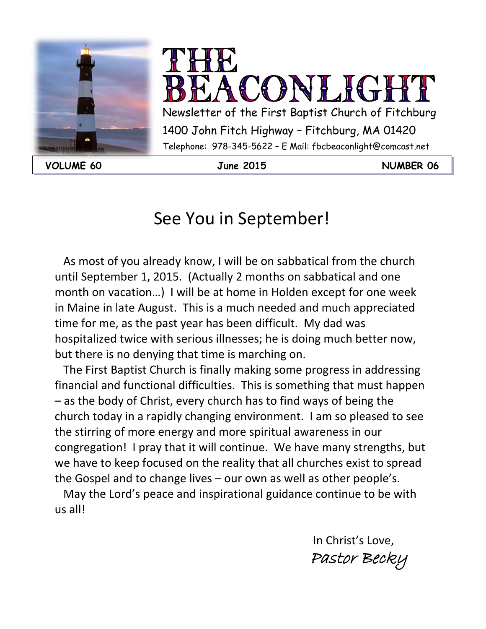



**VOLUME 60 June 2015 NUMBER 06**

# See You in September!

 As most of you already know, I will be on sabbatical from the church until September 1, 2015. (Actually 2 months on sabbatical and one month on vacation…) I will be at home in Holden except for one week in Maine in late August. This is a much needed and much appreciated time for me, as the past year has been difficult. My dad was hospitalized twice with serious illnesses; he is doing much better now, but there is no denying that time is marching on.

 The First Baptist Church is finally making some progress in addressing financial and functional difficulties. This is something that must happen – as the body of Christ, every church has to find ways of being the church today in a rapidly changing environment. I am so pleased to see the stirring of more energy and more spiritual awareness in our congregation! I pray that it will continue. We have many strengths, but we have to keep focused on the reality that all churches exist to spread the Gospel and to change lives – our own as well as other people's.

 May the Lord's peace and inspirational guidance continue to be with us all!

> In Christ's Love, Pastor Becky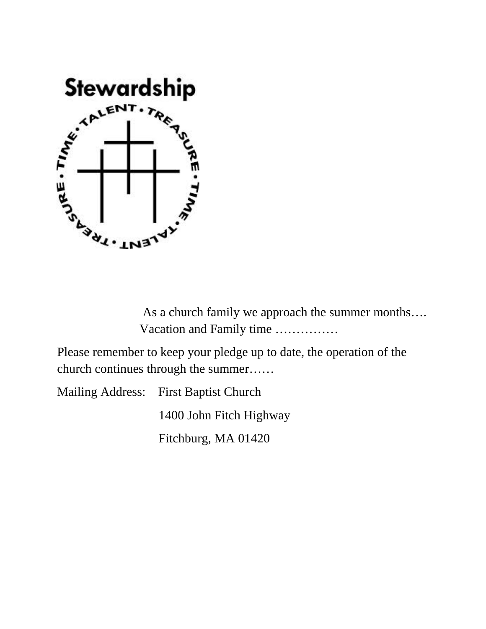

 As a church family we approach the summer months…. Vacation and Family time ……………

Please remember to keep your pledge up to date, the operation of the church continues through the summer……

Mailing Address: First Baptist Church

1400 John Fitch Highway

Fitchburg, MA 01420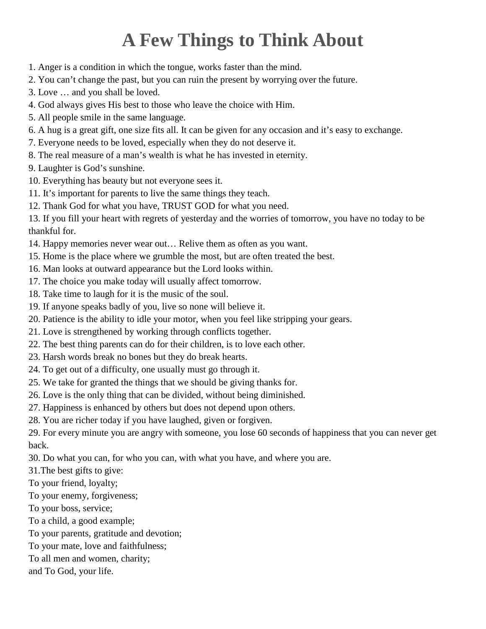# **A Few Things to Think About**

- 1. Anger is a condition in which the tongue, works faster than the mind.
- 2. You can't change the past, but you can ruin the present by worrying over the future.
- 3. Love … and you shall be loved.
- 4. God always gives His best to those who leave the choice with Him.
- 5. All people smile in the same language.
- 6. A hug is a great gift, one size fits all. It can be given for any occasion and it's easy to exchange.
- 7. Everyone needs to be loved, especially when they do not deserve it.
- 8. The real measure of a man's wealth is what he has invested in eternity.
- 9. Laughter is God's sunshine.
- 10. Everything has beauty but not everyone sees it.
- 11. It's important for parents to live the same things they teach.
- 12. Thank God for what you have, TRUST GOD for what you need.

13. If you fill your heart with regrets of yesterday and the worries of tomorrow, you have no today to be thankful for.

- 14. Happy memories never wear out… Relive them as often as you want.
- 15. Home is the place where we grumble the most, but are often treated the best.
- 16. Man looks at outward appearance but the Lord looks within.
- 17. The choice you make today will usually affect tomorrow.
- 18. Take time to laugh for it is the music of the soul.
- 19. If anyone speaks badly of you, live so none will believe it.
- 20. Patience is the ability to idle your motor, when you feel like stripping your gears.
- 21. Love is strengthened by working through conflicts together.
- 22. The best thing parents can do for their children, is to love each other.
- 23. Harsh words break no bones but they do break hearts.
- 24. To get out of a difficulty, one usually must go through it.
- 25. We take for granted the things that we should be giving thanks for.
- 26. Love is the only thing that can be divided, without being diminished.
- 27. Happiness is enhanced by others but does not depend upon others.
- 28. You are richer today if you have laughed, given or forgiven.

29. For every minute you are angry with someone, you lose 60 seconds of happiness that you can never get back.

30. Do what you can, for who you can, with what you have, and where you are.

- 31.The best gifts to give:
- To your friend, loyalty;
- To your enemy, forgiveness;
- To your boss, service;
- To a child, a good example;
- To your parents, gratitude and devotion;
- To your mate, love and faithfulness;
- To all men and women, charity;
- and To God, your life.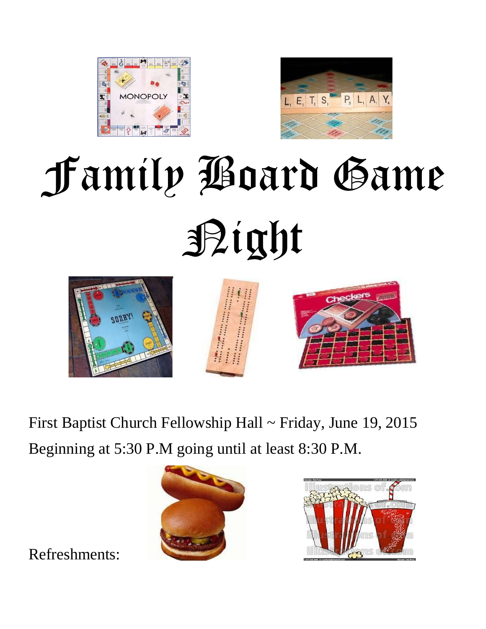



# Family Board Game Night



First Baptist Church Fellowship Hall ~ Friday, June 19, 2015 Beginning at 5:30 P.M going until at least 8:30 P.M.





Refreshments: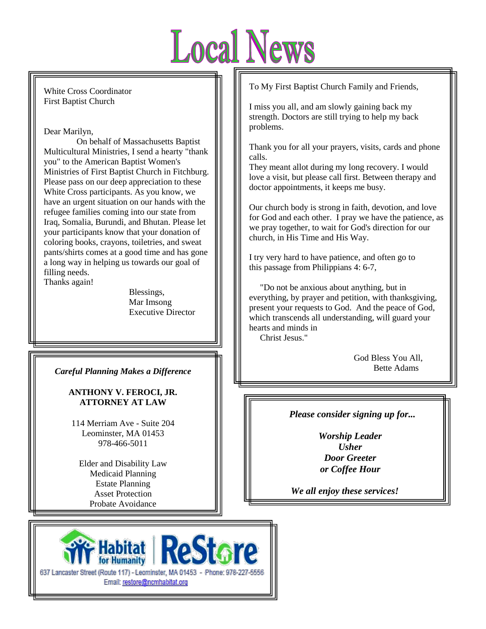

White Cross Coordinator First Baptist Church

Dear Marilyn,

 On behalf of Massachusetts Baptist Multicultural Ministries, I send a hearty "thank you" to the American Baptist Women's Ministries of First Baptist Church in Fitchburg. Please pass on our deep appreciation to these White Cross participants. As you know, we have an urgent situation on our hands with the refugee families coming into our state from Iraq, Somalia, Burundi, and Bhutan. Please let your participants know that your donation of coloring books, crayons, toiletries, and sweat pants/shirts comes at a good time and has gone a long way in helping us towards our goal of filling needs. Thanks again!

Blessings,

Mar Imsong Executive Director

*Careful Planning Makes a Difference*

#### **ANTHONY V. FEROCI, JR. ATTORNEY AT LAW**

114 Merriam Ave - Suite 204 Leominster, MA 01453 978-466-5011

Elder and Disability Law Medicaid Planning Estate Planning Asset Protection Probate Avoidance



To My First Baptist Church Family and Friends,

I miss you all, and am slowly gaining back my strength. Doctors are still trying to help my back problems.

Thank you for all your prayers, visits, cards and phone calls.

They meant allot during my long recovery. I would love a visit, but please call first. Between therapy and doctor appointments, it keeps me busy.

Our church body is strong in faith, devotion, and love for God and each other. I pray we have the patience, as we pray together, to wait for God's direction for our church, in His Time and His Way.

I try very hard to have patience, and often go to this passage from Philippians 4: 6-7,

 "Do not be anxious about anything, but in everything, by prayer and petition, with thanksgiving, present your requests to God. And the peace of God, which transcends all understanding, will guard your hearts and minds in

Christ Jesus."

 God Bless You All, Bette Adams

*Please consider signing up for...*

*Worship Leader Usher Door Greeter or Coffee Hour*

*We all enjoy these services!*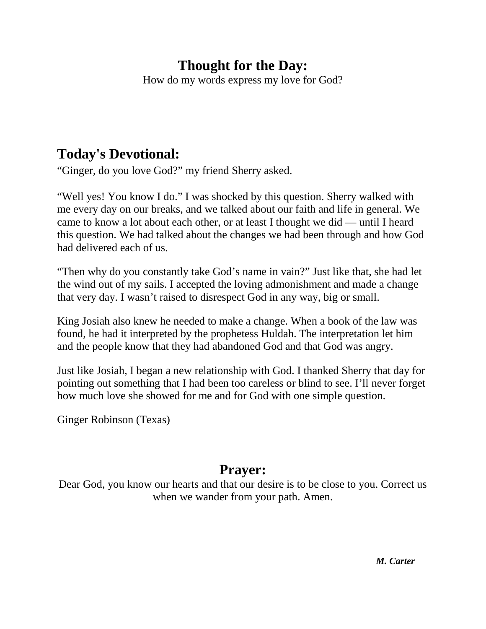### **Thought for the Day:**

How do my words express my love for God?

### **Today's Devotional:**

"Ginger, do you love God?" my friend Sherry asked.

"Well yes! You know I do." I was shocked by this question. Sherry walked with me every day on our breaks, and we talked about our faith and life in general. We came to know a lot about each other, or at least I thought we did — until I heard this question. We had talked about the changes we had been through and how God had delivered each of us.

"Then why do you constantly take God's name in vain?" Just like that, she had let the wind out of my sails. I accepted the loving admonishment and made a change that very day. I wasn't raised to disrespect God in any way, big or small.

King Josiah also knew he needed to make a change. When a book of the law was found, he had it interpreted by the prophetess Huldah. The interpretation let him and the people know that they had abandoned God and that God was angry.

Just like Josiah, I began a new relationship with God. I thanked Sherry that day for pointing out something that I had been too careless or blind to see. I'll never forget how much love she showed for me and for God with one simple question.

Ginger Robinson (Texas)

### **Prayer:**

Dear God, you know our hearts and that our desire is to be close to you. Correct us when we wander from your path. Amen.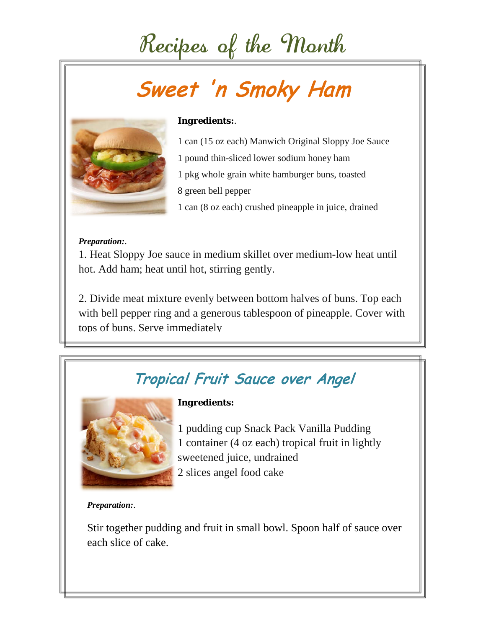# Recipes of the Month

# Sweet 'n Smoky Ham



### *Ingredients:*.

- 1 can (15 oz each) Manwich Original Sloppy Joe Sauce 1 pound thin-sliced lower sodium honey ham 1 pkg whole grain white hamburger buns, toasted
- 8 green bell pepper
- 1 can (8 oz each) crushed pineapple in juice, drained

#### *Preparation:*.

1. Heat Sloppy Joe sauce in medium skillet over medium-low heat until hot. Add ham; heat until hot, stirring gently.

2. Divide meat mixture evenly between bottom halves of buns. Top each with bell pepper ring and a generous tablespoon of pineapple. Cover with tops of buns. Serve immediately

## Tropical Fruit Sauce over Angel



*Ingredients:*

1 pudding cup Snack Pack Vanilla Pudding 1 container (4 oz each) tropical fruit in lightly sweetened juice, undrained 2 slices angel food cake

*Preparation:*.

Stir together pudding and fruit in small bowl. Spoon half of sauce over each slice of cake.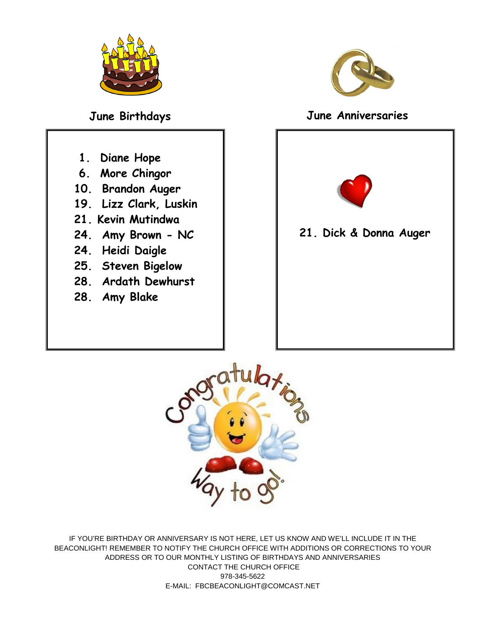

- **1. Diane Hope**
- **6. More Chingor**
- **10. Brandon Auger**
- **19. Lizz Clark, Luskin**
- **21. Kevin Mutindwa**
- **24. Amy Brown - NC**
- **24. Heidi Daigle**
- **25. Steven Bigelow**
- **28. Ardath Dewhurst**
- **28. Amy Blake**



### **June Birthdays June Anniversaries**



**21. Dick & Donna Auger**



IF YOU'RE BIRTHDAY OR ANNIVERSARY IS NOT HERE, LET US KNOW AND WE'LL INCLUDE IT IN THE BEACONLIGHT! REMEMBER TO NOTIFY THE CHURCH OFFICE WITH ADDITIONS OR CORRECTIONS TO YOUR ADDRESS OR TO OUR MONTHLY LISTING OF BIRTHDAYS AND ANNIVERSARIES CONTACT THE CHURCH OFFICE 978-345-5622 E-MAIL: FBCBEACONLIGHT@COMCAST.NET